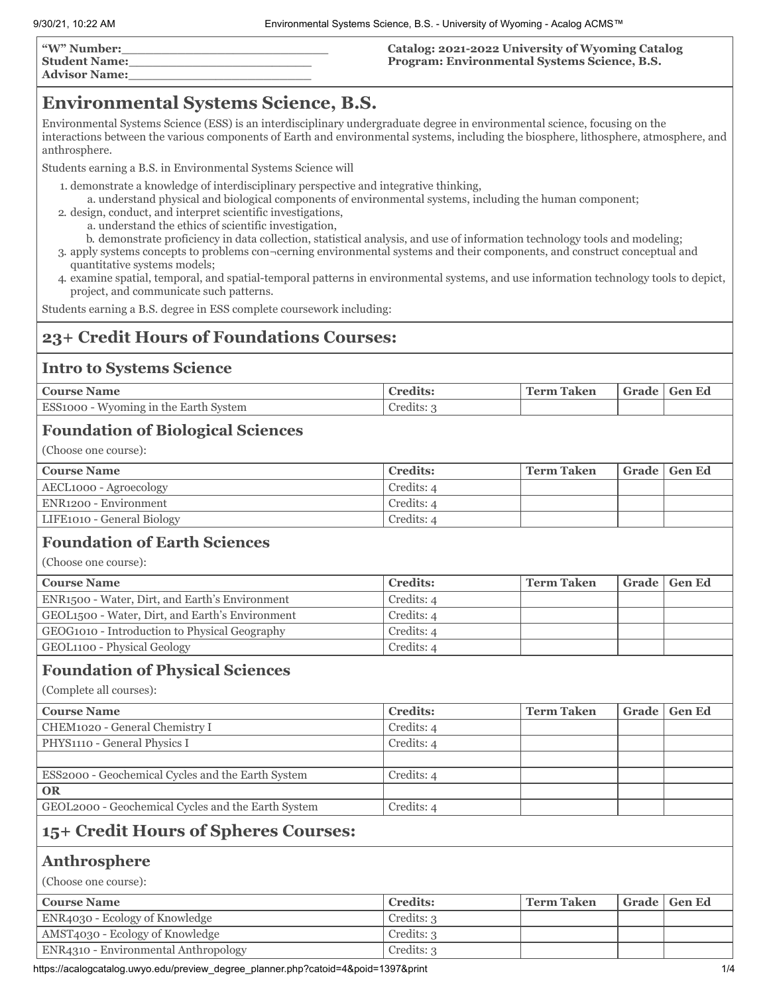| "W" Number:          |  |  |  |  |
|----------------------|--|--|--|--|
| <b>Student Name:</b> |  |  |  |  |
| $\cdots$             |  |  |  |  |

**Advisor Name:\_\_\_\_\_\_\_\_\_\_\_\_\_\_\_\_\_\_\_\_\_\_\_**

#### **Catalog: 2021-2022 University of Wyoming Catalog Program: Environmental Systems Science, B.S.**

# **Environmental Systems Science, B.S.**

Environmental Systems Science (ESS) is an interdisciplinary undergraduate degree in environmental science, focusing on the interactions between the various components of Earth and environmental systems, including the biosphere, lithosphere, atmosphere, and anthrosphere.

Students earning a B.S. in Environmental Systems Science will

- 1. demonstrate a knowledge of interdisciplinary perspective and integrative thinking,
	- a. understand physical and biological components of environmental systems, including the human component;
- 2. design, conduct, and interpret scientific investigations,
	- a. understand the ethics of scientific investigation,
	- b. demonstrate proficiency in data collection, statistical analysis, and use of information technology tools and modeling;
- 3. apply systems concepts to problems con¬cerning environmental systems and their components, and construct conceptual and quantitative systems models;
- 4. examine spatial, temporal, and spatial-temporal patterns in environmental systems, and use information technology tools to depict, project, and communicate such patterns.

Students earning a B.S. degree in ESS complete coursework including:

# **23+ Credit Hours of Foundations Courses:**

## **Intro to Systems Science**

| <b>Course Name</b>                              | ~redits:               | Taken<br>`erm | Grade <sub>1</sub> | $\sim$ $\sim$ 1<br>Gen Ed |
|-------------------------------------------------|------------------------|---------------|--------------------|---------------------------|
| <b>ESS1000</b><br>Wyoming in the Earth System - | $C$ redits: $\epsilon$ |               |                    |                           |

## **Foundation of Biological Sciences**

(Choose one course):

| Course Name                        | <b>Credits:</b>   | Term Taken | Grade   Gen Ed |
|------------------------------------|-------------------|------------|----------------|
| AECL <sub>1000</sub> - Agroecology | Credits: 4        |            |                |
| ENR1200 - Environment              | Credits: $\Delta$ |            |                |
| LIFE1010 - General Biology         | Credits: 4        |            |                |

## **Foundation of Earth Sciences**

(Choose one course):

| <b>Course Name</b>                                          | <b>Credits:</b> | <b>Term Taken</b> | Grade   Gen Ed |
|-------------------------------------------------------------|-----------------|-------------------|----------------|
| ENR1500 - Water, Dirt, and Earth's Environment              | Credits: 4      |                   |                |
| GEOL <sub>1500</sub> - Water, Dirt, and Earth's Environment | Credits: 4      |                   |                |
| GEOG <sub>1010</sub> - Introduction to Physical Geography   | Credits: 4      |                   |                |
| GEOL1100 - Physical Geology                                 | Credits: 4      |                   |                |

## **Foundation of Physical Sciences**

(Complete all courses):

| <b>Course Name</b>                                 | <b>Credits:</b> | <b>Term Taken</b> | Grade   Gen Ed |
|----------------------------------------------------|-----------------|-------------------|----------------|
| CHEM1020 - General Chemistry I                     | Credits: 4      |                   |                |
| PHYS1110 - General Physics I                       | Credits: 4      |                   |                |
|                                                    |                 |                   |                |
| ESS2000 - Geochemical Cycles and the Earth System  | Credits: 4      |                   |                |
| OR                                                 |                 |                   |                |
| GEOL2000 - Geochemical Cycles and the Earth System | Credits: 4      |                   |                |

# **15+ Credit Hours of Spheres Courses:**

## **Anthrosphere**

(Choose one course):

| <b>Course Name</b>                   | <b>Credits:</b> | <b>Term Taken</b> | Grade   Gen Ed |
|--------------------------------------|-----------------|-------------------|----------------|
| ENR4030 - Ecology of Knowledge       | Credits: 3      |                   |                |
| AMST4030 - Ecology of Knowledge      | Credits: 3      |                   |                |
| ENR4310 - Environmental Anthropology | Credits: 3      |                   |                |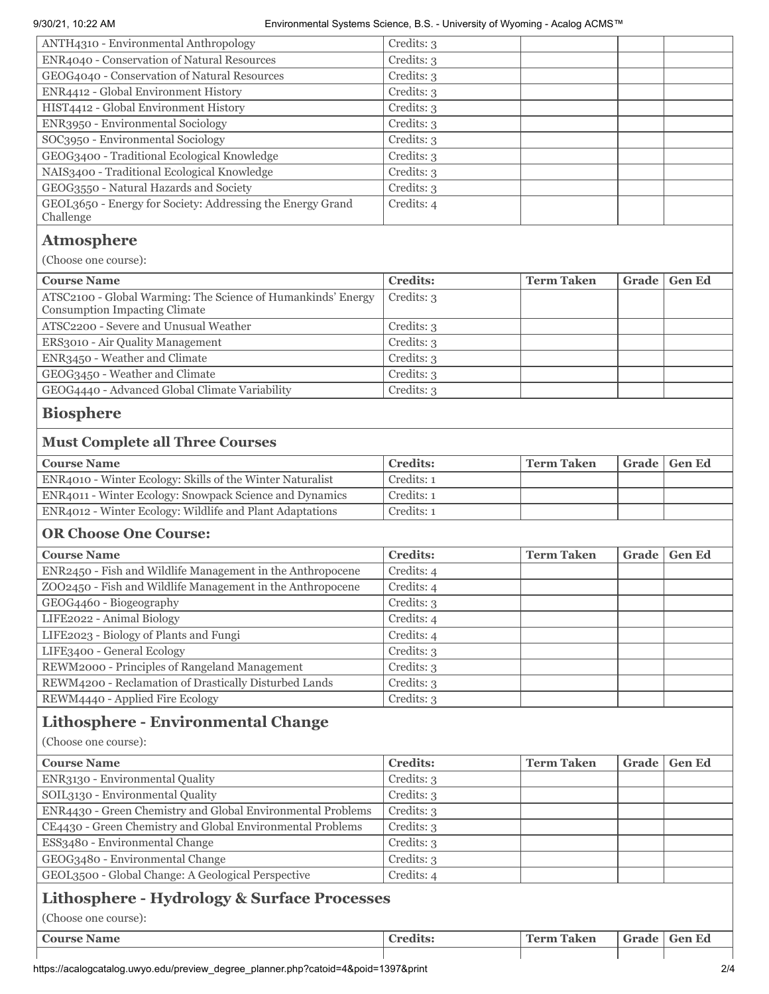#### 9/30/21, 10:22 AM Environmental Systems Science, B.S. - University of Wyoming - Acalog ACMS™

| ANTH4310 - Environmental Anthropology                                                                | Credits: 3      |                   |       |               |
|------------------------------------------------------------------------------------------------------|-----------------|-------------------|-------|---------------|
| ENR4040 - Conservation of Natural Resources                                                          | Credits: 3      |                   |       |               |
| GEOG4040 - Conservation of Natural Resources                                                         | Credits: 3      |                   |       |               |
| ENR4412 - Global Environment History                                                                 | Credits: 3      |                   |       |               |
| HIST4412 - Global Environment History                                                                | Credits: 3      |                   |       |               |
| ENR3950 - Environmental Sociology                                                                    | Credits: 3      |                   |       |               |
| SOC3950 - Environmental Sociology                                                                    | Credits: 3      |                   |       |               |
| GEOG3400 - Traditional Ecological Knowledge                                                          | Credits: 3      |                   |       |               |
| NAIS3400 - Traditional Ecological Knowledge                                                          | Credits: 3      |                   |       |               |
| GEOG3550 - Natural Hazards and Society                                                               | Credits: 3      |                   |       |               |
| GEOL3650 - Energy for Society: Addressing the Energy Grand<br>Challenge                              | Credits: 4      |                   |       |               |
| <b>Atmosphere</b>                                                                                    |                 |                   |       |               |
| (Choose one course):                                                                                 |                 |                   |       |               |
| <b>Course Name</b>                                                                                   | <b>Credits:</b> | <b>Term Taken</b> | Grade | <b>Gen Ed</b> |
| ATSC2100 - Global Warming: The Science of Humankinds' Energy<br><b>Consumption Impacting Climate</b> | Credits: 3      |                   |       |               |
| ATSC2200 - Severe and Unusual Weather                                                                | Credits: 3      |                   |       |               |
| ERS3010 - Air Quality Management                                                                     | Credits: 3      |                   |       |               |

GEOG3450 - Weather and Climate Credits: 3 GEOG4440 - Advanced Global Climate Variability Credits: 3

**Biosphere**

#### **Must Complete all Three Courses**

ENR3450 - Weather and Climate Credits: 3

| <b>Course Name</b>                                        | <b>Credits:</b> | Term Taken | Grade   Gen Ed |
|-----------------------------------------------------------|-----------------|------------|----------------|
| ENR4010 - Winter Ecology: Skills of the Winter Naturalist | Credits: 1      |            |                |
| ENR4011 - Winter Ecology: Snowpack Science and Dynamics   | Credits: 1      |            |                |
| ENR4012 - Winter Ecology: Wildlife and Plant Adaptations  | Credits: 1      |            |                |

## **OR Choose One Course:**

| <b>Course Name</b>                                         | <b>Credits:</b> | <b>Term Taken</b> | Grade | <b>Gen Ed</b> |
|------------------------------------------------------------|-----------------|-------------------|-------|---------------|
| ENR2450 - Fish and Wildlife Management in the Anthropocene | Credits: 4      |                   |       |               |
| ZOO2450 - Fish and Wildlife Management in the Anthropocene | Credits: 4      |                   |       |               |
| GEOG4460 - Biogeography                                    | Credits: 3      |                   |       |               |
| LIFE2022 - Animal Biology                                  | Credits: 4      |                   |       |               |
| LIFE2023 - Biology of Plants and Fungi                     | Credits: 4      |                   |       |               |
| LIFE3400 - General Ecology                                 | Credits: 3      |                   |       |               |
| REWM2000 - Principles of Rangeland Management              | Credits: 3      |                   |       |               |
| REWM4200 - Reclamation of Drastically Disturbed Lands      | Credits: 3      |                   |       |               |
| REWM4440 - Applied Fire Ecology                            | Credits: 3      |                   |       |               |

## **Lithosphere - Environmental Change**

(Choose one course):

| <b>Course Name</b>                                          | <b>Credits:</b> | <b>Term Taken</b> | Grade Gen Ed |
|-------------------------------------------------------------|-----------------|-------------------|--------------|
| ENR3130 - Environmental Quality                             | Credits: 3      |                   |              |
| SOIL3130 - Environmental Quality                            | Credits: 3      |                   |              |
| ENR4430 - Green Chemistry and Global Environmental Problems | Credits: 3      |                   |              |
| CE4430 - Green Chemistry and Global Environmental Problems  | Credits: 3      |                   |              |
| ESS3480 - Environmental Change                              | Credits: 3      |                   |              |
| GEOG3480 - Environmental Change                             | Credits: 3      |                   |              |
| GEOL3500 - Global Change: A Geological Perspective          | Credits: 4      |                   |              |

# **Lithosphere - Hydrology & Surface Processes**

(Choose one course):

| - -<br>Cours.<br>$ -$<br>лe<br>vи | $n_{\rm T}$<br>.<br>$- - - - - - - -$ | <b>CONTRACTOR</b><br>m.<br>l'arn | T <sub>0</sub><br>.<br>_____ | $\sim$<br>$\triangle$ $\triangle$ $\triangle$<br>- Eus<br>-----<br>____ |
|-----------------------------------|---------------------------------------|----------------------------------|------------------------------|-------------------------------------------------------------------------|
|                                   |                                       |                                  |                              |                                                                         |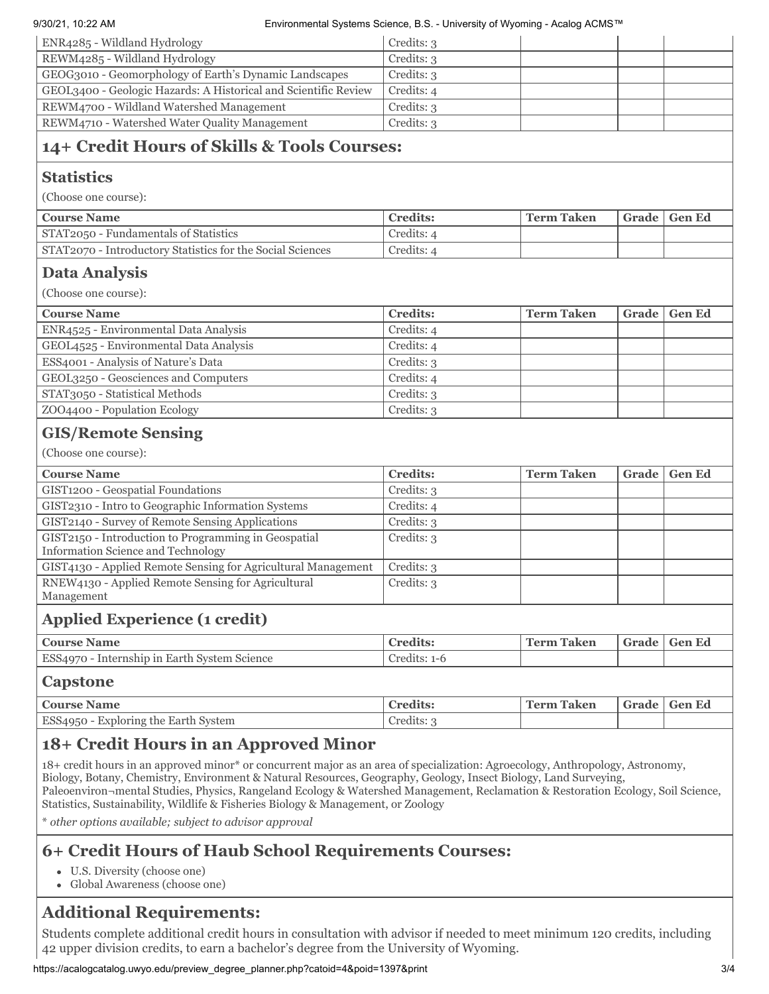#### 9/30/21, 10:22 AM Environmental Systems Science, B.S. - University of Wyoming - Acalog ACMS™

| ENR4285 - Wildland Hydrology                                                                                                     | Credits: 3      |                   |       |               |
|----------------------------------------------------------------------------------------------------------------------------------|-----------------|-------------------|-------|---------------|
| REWM4285 - Wildland Hydrology                                                                                                    | Credits: 3      |                   |       |               |
| GEOG3010 - Geomorphology of Earth's Dynamic Landscapes                                                                           | Credits: 3      |                   |       |               |
| GEOL3400 - Geologic Hazards: A Historical and Scientific Review                                                                  | Credits: 4      |                   |       |               |
| REWM4700 - Wildland Watershed Management                                                                                         | Credits: 3      |                   |       |               |
| REWM4710 - Watershed Water Quality Management                                                                                    | Credits: 3      |                   |       |               |
|                                                                                                                                  |                 |                   |       |               |
| 14+ Credit Hours of Skills & Tools Courses:                                                                                      |                 |                   |       |               |
| <b>Statistics</b>                                                                                                                |                 |                   |       |               |
| (Choose one course):                                                                                                             |                 |                   |       |               |
| <b>Course Name</b>                                                                                                               | <b>Credits:</b> | <b>Term Taken</b> | Grade | <b>Gen Ed</b> |
| STAT2050 - Fundamentals of Statistics                                                                                            | Credits: 4      |                   |       |               |
| STAT2070 - Introductory Statistics for the Social Sciences                                                                       | Credits: 4      |                   |       |               |
| <b>Data Analysis</b>                                                                                                             |                 |                   |       |               |
| (Choose one course):                                                                                                             |                 |                   |       |               |
| <b>Course Name</b>                                                                                                               | <b>Credits:</b> | <b>Term Taken</b> | Grade | <b>Gen Ed</b> |
| ENR4525 - Environmental Data Analysis                                                                                            | Credits: 4      |                   |       |               |
| GEOL4525 - Environmental Data Analysis                                                                                           | Credits: 4      |                   |       |               |
| ESS4001 - Analysis of Nature's Data                                                                                              | Credits: 3      |                   |       |               |
| GEOL3250 - Geosciences and Computers                                                                                             | Credits: 4      |                   |       |               |
| STAT3050 - Statistical Methods                                                                                                   | Credits: 3      |                   |       |               |
| ZOO4400 - Population Ecology                                                                                                     | Credits: 3      |                   |       |               |
| <b>GIS/Remote Sensing</b><br>(Choose one course):<br><b>Course Name</b>                                                          | <b>Credits:</b> | <b>Term Taken</b> | Grade | <b>Gen Ed</b> |
| GIST1200 - Geospatial Foundations                                                                                                | Credits: 3      |                   |       |               |
| GIST2310 - Intro to Geographic Information Systems                                                                               | Credits: 4      |                   |       |               |
| GIST2140 - Survey of Remote Sensing Applications                                                                                 | Credits: 3      |                   |       |               |
| GIST2150 - Introduction to Programming in Geospatial                                                                             | Credits: 3      |                   |       |               |
| Information Science and Technology                                                                                               |                 |                   |       |               |
| GIST4130 - Applied Remote Sensing for Agricultural Management                                                                    | Credits: 3      |                   |       |               |
| RNEW4130 - Applied Remote Sensing for Agricultural                                                                               | Credits: 3      |                   |       |               |
| Management                                                                                                                       |                 |                   |       |               |
| <b>Applied Experience (1 credit)</b>                                                                                             |                 |                   |       |               |
| <b>Course Name</b>                                                                                                               | <b>Credits:</b> | <b>Term Taken</b> | Grade | <b>Gen Ed</b> |
| ESS4970 - Internship in Earth System Science                                                                                     | Credits: 1-6    |                   |       |               |
| <b>Capstone</b>                                                                                                                  |                 |                   |       |               |
| <b>Course Name</b>                                                                                                               | <b>Credits:</b> | <b>Term Taken</b> | Grade | <b>Gen Ed</b> |
| ESS4950 - Exploring the Earth System                                                                                             | Credits: 3      |                   |       |               |
| 18+ Credit Hours in an Approved Minor                                                                                            |                 |                   |       |               |
| 18+ credit hours in an approved minor* or concurrent major as an area of specialization: Agroecology, Anthropology, Astronomy,   |                 |                   |       |               |
| Biology, Botany, Chemistry, Environment & Natural Resources, Geography, Geology, Insect Biology, Land Surveying,                 |                 |                   |       |               |
| Paleoenviron-mental Studies, Physics, Rangeland Ecology & Watershed Management, Reclamation & Restoration Ecology, Soil Science, |                 |                   |       |               |
|                                                                                                                                  |                 |                   |       |               |

\* *other options available; subject to advisor approval*

# **6+ Credit Hours of Haub School Requirements Courses:**

- U.S. Diversity (choose one)
- Global Awareness (choose one)

## **Additional Requirements:**

Students complete additional credit hours in consultation with advisor if needed to meet minimum 120 credits, including 42 upper division credits, to earn a bachelor's degree from the University of Wyoming.